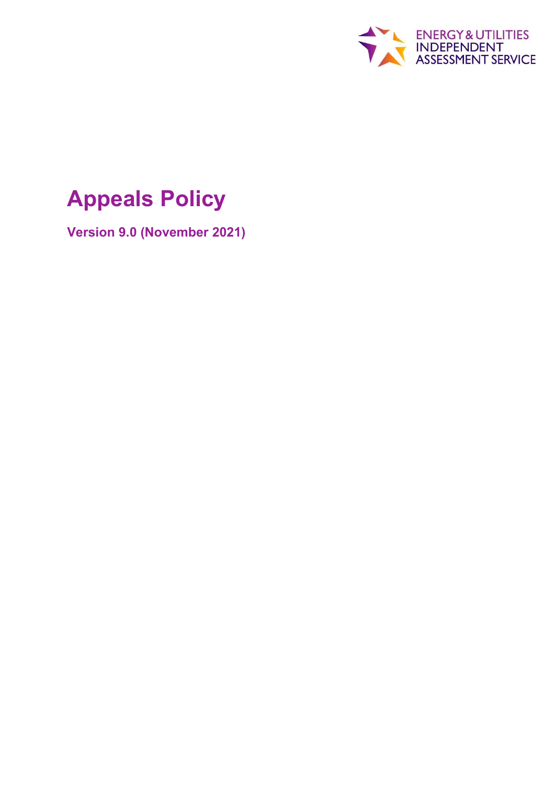

# **Appeals Policy**

**Version 9.0 (November 2021)**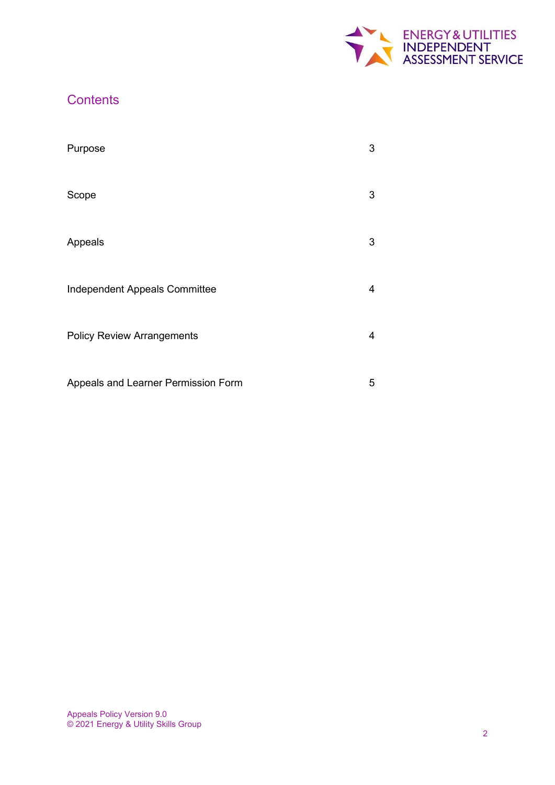

# **Contents**

| Purpose                             | 3 |
|-------------------------------------|---|
| Scope                               | 3 |
| Appeals                             | 3 |
| Independent Appeals Committee       | 4 |
| <b>Policy Review Arrangements</b>   | 4 |
| Appeals and Learner Permission Form | 5 |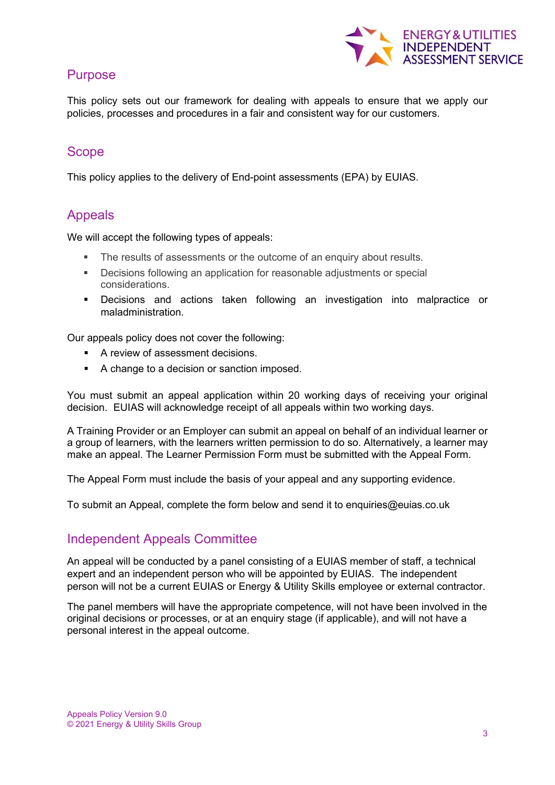

# Purpose

This policy sets out our framework for dealing with appeals to ensure that we apply our policies, processes and procedures in a fair and consistent way for our customers.

# **Scope**

This policy applies to the delivery of End-point assessments (EPA) by EUIAS.

# Appeals

We will accept the following types of appeals:

- The results of assessments or the outcome of an enquiry about results.
- Decisions following an application for reasonable adjustments or special considerations.
- Decisions and actions taken following an investigation into malpractice or maladministration.

Our appeals policy does not cover the following:

- A review of assessment decisions.
- A change to a decision or sanction imposed.

You must submit an appeal application within 20 working days of receiving your original decision. EUIAS will acknowledge receipt of all appeals within two working days.

A Training Provider or an Employer can submit an appeal on behalf of an individual learner or a group of learners, with the learners written permission to do so. Alternatively, a learner may make an appeal. The Learner Permission Form must be submitted with the Appeal Form.

The Appeal Form must include the basis of your appeal and any supporting evidence.

To submit an Appeal, complete the form below and send it to enquiries@euias.co.uk

# Independent Appeals Committee

An appeal will be conducted by a panel consisting of a EUIAS member of staff, a technical expert and an independent person who will be appointed by EUIAS. The independent person will not be a current EUIAS or Energy & Utility Skills employee or external contractor.

The panel members will have the appropriate competence, will not have been involved in the original decisions or processes, or at an enquiry stage (if applicable), and will not have a personal interest in the appeal outcome.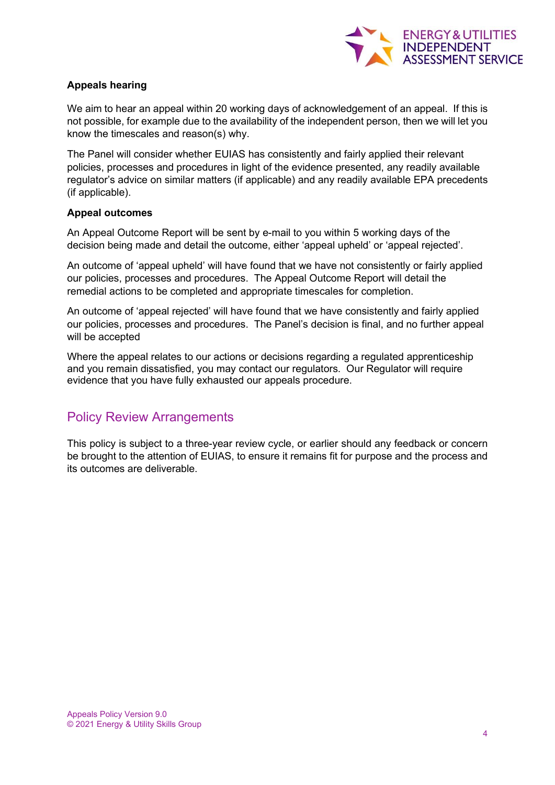

### **Appeals hearing**

We aim to hear an appeal within 20 working days of acknowledgement of an appeal. If this is not possible, for example due to the availability of the independent person, then we will let you know the timescales and reason(s) why.

The Panel will consider whether EUIAS has consistently and fairly applied their relevant policies, processes and procedures in light of the evidence presented, any readily available regulator's advice on similar matters (if applicable) and any readily available EPA precedents (if applicable).

#### **Appeal outcomes**

An Appeal Outcome Report will be sent by e-mail to you within 5 working days of the decision being made and detail the outcome, either 'appeal upheld' or 'appeal rejected'.

An outcome of 'appeal upheld' will have found that we have not consistently or fairly applied our policies, processes and procedures. The Appeal Outcome Report will detail the remedial actions to be completed and appropriate timescales for completion.

An outcome of 'appeal rejected' will have found that we have consistently and fairly applied our policies, processes and procedures. The Panel's decision is final, and no further appeal will be accepted

Where the appeal relates to our actions or decisions regarding a regulated apprenticeship and you remain dissatisfied, you may contact our regulators. Our Regulator will require evidence that you have fully exhausted our appeals procedure.

## Policy Review Arrangements

This policy is subject to a three-year review cycle, or earlier should any feedback or concern be brought to the attention of EUIAS, to ensure it remains fit for purpose and the process and its outcomes are deliverable.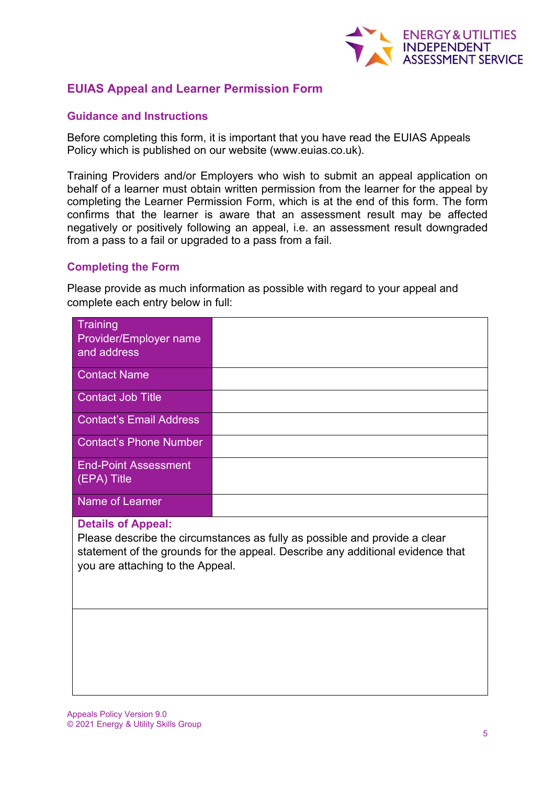

## **EUIAS Appeal and Learner Permission Form**

#### **Guidance and Instructions**

Before completing this form, it is important that you have read the EUIAS Appeals Policy which is published on our website (www.euias.co.uk).

Training Providers and/or Employers who wish to submit an appeal application on behalf of a learner must obtain written permission from the learner for the appeal by completing the Learner Permission Form, which is at the end of this form. The form confirms that the learner is aware that an assessment result may be affected negatively or positively following an appeal, i.e. an assessment result downgraded from a pass to a fail or upgraded to a pass from a fail.

#### **Completing the Form**

Please provide as much information as possible with regard to your appeal and complete each entry below in full:

#### **Details of Appeal:**

Please describe the circumstances as fully as possible and provide a clear statement of the grounds for the appeal. Describe any additional evidence that you are attaching to the Appeal.